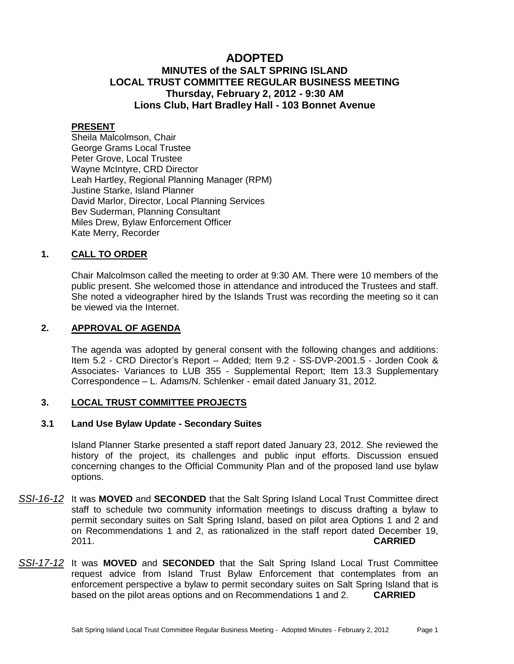# **ADOPTED MINUTES of the SALT SPRING ISLAND LOCAL TRUST COMMITTEE REGULAR BUSINESS MEETING Thursday, February 2, 2012 - 9:30 AM Lions Club, Hart Bradley Hall - 103 Bonnet Avenue**

# **PRESENT**

Sheila Malcolmson, Chair George Grams Local Trustee Peter Grove, Local Trustee Wayne McIntyre, CRD Director Leah Hartley, Regional Planning Manager (RPM) Justine Starke, Island Planner David Marlor, Director, Local Planning Services Bev Suderman, Planning Consultant Miles Drew, Bylaw Enforcement Officer Kate Merry, Recorder

# **1. CALL TO ORDER**

Chair Malcolmson called the meeting to order at 9:30 AM. There were 10 members of the public present. She welcomed those in attendance and introduced the Trustees and staff. She noted a videographer hired by the Islands Trust was recording the meeting so it can be viewed via the Internet.

# **2. APPROVAL OF AGENDA**

The agenda was adopted by general consent with the following changes and additions: Item 5.2 - CRD Director's Report – Added; Item 9.2 - SS-DVP-2001.5 - Jorden Cook & Associates- Variances to LUB 355 - Supplemental Report; Item 13.3 Supplementary Correspondence – L. Adams/N. Schlenker - email dated January 31, 2012.

# **3. LOCAL TRUST COMMITTEE PROJECTS**

## **3.1 Land Use Bylaw Update - Secondary Suites**

Island Planner Starke presented a staff report dated January 23, 2012. She reviewed the history of the project, its challenges and public input efforts. Discussion ensued concerning changes to the Official Community Plan and of the proposed land use bylaw options.

- *SSI-16-12* It was **MOVED** and **SECONDED** that the Salt Spring Island Local Trust Committee direct staff to schedule two community information meetings to discuss drafting a bylaw to permit secondary suites on Salt Spring Island, based on pilot area Options 1 and 2 and on Recommendations 1 and 2, as rationalized in the staff report dated December 19, 2011. **CARRIED**
- *SSI-17-12* It was **MOVED** and **SECONDED** that the Salt Spring Island Local Trust Committee request advice from Island Trust Bylaw Enforcement that contemplates from an enforcement perspective a bylaw to permit secondary suites on Salt Spring Island that is based on the pilot areas options and on Recommendations 1 and 2. **CARRIED**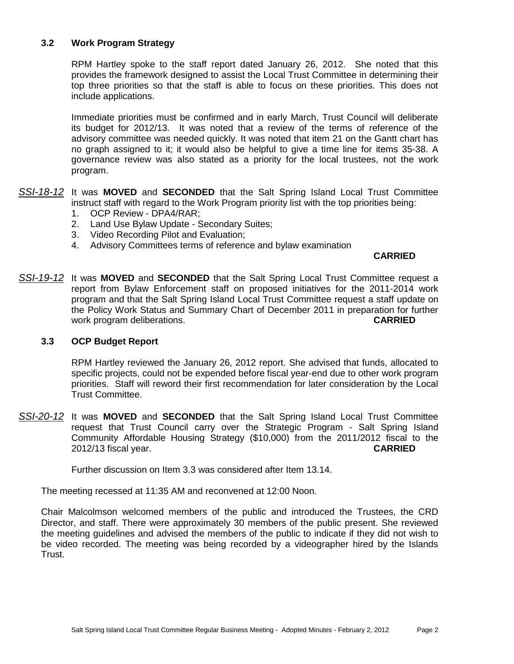# **3.2 Work Program Strategy**

RPM Hartley spoke to the staff report dated January 26, 2012. She noted that this provides the framework designed to assist the Local Trust Committee in determining their top three priorities so that the staff is able to focus on these priorities. This does not include applications.

Immediate priorities must be confirmed and in early March, Trust Council will deliberate its budget for 2012/13. It was noted that a review of the terms of reference of the advisory committee was needed quickly. It was noted that item 21 on the Gantt chart has no graph assigned to it; it would also be helpful to give a time line for items 35-38. A governance review was also stated as a priority for the local trustees, not the work program.

- *SSI-18-12* It was **MOVED** and **SECONDED** that the Salt Spring Island Local Trust Committee instruct staff with regard to the Work Program priority list with the top priorities being:
	- 1. OCP Review DPA4/RAR;
	- 2. Land Use Bylaw Update Secondary Suites;
	- 3. Video Recording Pilot and Evaluation;
	- 4. Advisory Committees terms of reference and bylaw examination

#### **CARRIED**

*SSI-19-12* It was **MOVED** and **SECONDED** that the Salt Spring Local Trust Committee request a report from Bylaw Enforcement staff on proposed initiatives for the 2011-2014 work program and that the Salt Spring Island Local Trust Committee request a staff update on the Policy Work Status and Summary Chart of December 2011 in preparation for further work program deliberations. **CARRIED**

## **3.3 OCP Budget Report**

RPM Hartley reviewed the January 26, 2012 report. She advised that funds, allocated to specific projects, could not be expended before fiscal year-end due to other work program priorities. Staff will reword their first recommendation for later consideration by the Local Trust Committee.

*SSI-20-12* It was **MOVED** and **SECONDED** that the Salt Spring Island Local Trust Committee request that Trust Council carry over the Strategic Program - Salt Spring Island Community Affordable Housing Strategy (\$10,000) from the 2011/2012 fiscal to the 2012/13 fiscal year. **CARRIED**

Further discussion on Item 3.3 was considered after Item 13.14.

The meeting recessed at 11:35 AM and reconvened at 12:00 Noon.

Chair Malcolmson welcomed members of the public and introduced the Trustees, the CRD Director, and staff. There were approximately 30 members of the public present. She reviewed the meeting guidelines and advised the members of the public to indicate if they did not wish to be video recorded. The meeting was being recorded by a videographer hired by the Islands Trust.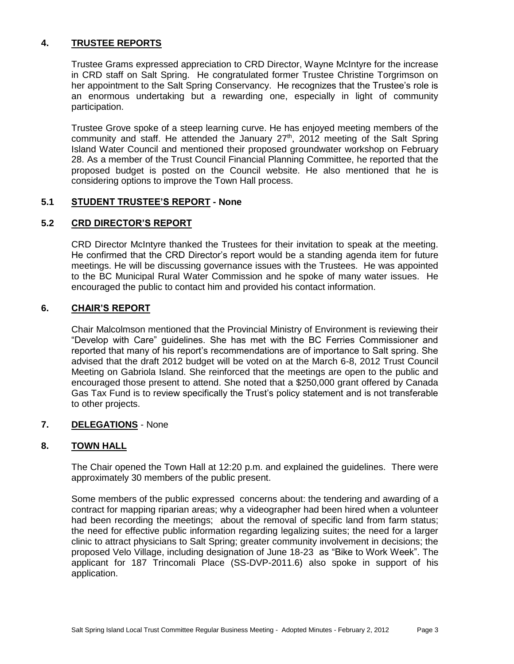# **4. TRUSTEE REPORTS**

Trustee Grams expressed appreciation to CRD Director, Wayne McIntyre for the increase in CRD staff on Salt Spring. He congratulated former Trustee Christine Torgrimson on her appointment to the Salt Spring Conservancy. He recognizes that the Trustee's role is an enormous undertaking but a rewarding one, especially in light of community participation.

Trustee Grove spoke of a steep learning curve. He has enjoyed meeting members of the community and staff. He attended the January 27<sup>th</sup>, 2012 meeting of the Salt Spring Island Water Council and mentioned their proposed groundwater workshop on February 28. As a member of the Trust Council Financial Planning Committee, he reported that the proposed budget is posted on the Council website. He also mentioned that he is considering options to improve the Town Hall process.

# **5.1 STUDENT TRUSTEE'S REPORT - None**

# **5.2 CRD DIRECTOR'S REPORT**

CRD Director McIntyre thanked the Trustees for their invitation to speak at the meeting. He confirmed that the CRD Director's report would be a standing agenda item for future meetings. He will be discussing governance issues with the Trustees. He was appointed to the BC Municipal Rural Water Commission and he spoke of many water issues. He encouraged the public to contact him and provided his contact information.

# **6. CHAIR'S REPORT**

Chair Malcolmson mentioned that the Provincial Ministry of Environment is reviewing their "Develop with Care" guidelines. She has met with the BC Ferries Commissioner and reported that many of his report's recommendations are of importance to Salt spring. She advised that the draft 2012 budget will be voted on at the March 6-8, 2012 Trust Council Meeting on Gabriola Island. She reinforced that the meetings are open to the public and encouraged those present to attend. She noted that a \$250,000 grant offered by Canada Gas Tax Fund is to review specifically the Trust's policy statement and is not transferable to other projects.

# **7. DELEGATIONS** - None

# **8. TOWN HALL**

The Chair opened the Town Hall at 12:20 p.m. and explained the guidelines. There were approximately 30 members of the public present.

Some members of the public expressed concerns about: the tendering and awarding of a contract for mapping riparian areas; why a videographer had been hired when a volunteer had been recording the meetings; about the removal of specific land from farm status; the need for effective public information regarding legalizing suites; the need for a larger clinic to attract physicians to Salt Spring; greater community involvement in decisions; the proposed Velo Village, including designation of June 18-23 as "Bike to Work Week". The applicant for 187 Trincomali Place (SS-DVP-2011.6) also spoke in support of his application.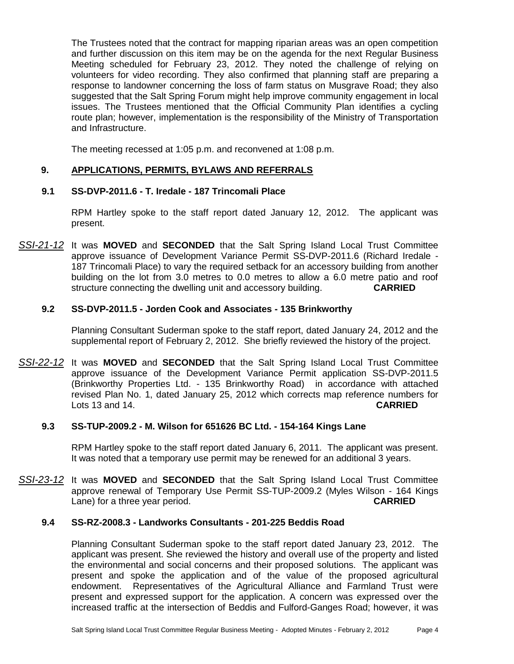The Trustees noted that the contract for mapping riparian areas was an open competition and further discussion on this item may be on the agenda for the next Regular Business Meeting scheduled for February 23, 2012. They noted the challenge of relying on volunteers for video recording. They also confirmed that planning staff are preparing a response to landowner concerning the loss of farm status on Musgrave Road; they also suggested that the Salt Spring Forum might help improve community engagement in local issues. The Trustees mentioned that the Official Community Plan identifies a cycling route plan; however, implementation is the responsibility of the Ministry of Transportation and Infrastructure.

The meeting recessed at 1:05 p.m. and reconvened at 1:08 p.m.

# **9. APPLICATIONS, PERMITS, BYLAWS AND REFERRALS**

## **9.1 SS-DVP-2011.6 - T. Iredale - 187 Trincomali Place**

RPM Hartley spoke to the staff report dated January 12, 2012. The applicant was present.

*SSI-21-12* It was **MOVED** and **SECONDED** that the Salt Spring Island Local Trust Committee approve issuance of Development Variance Permit SS-DVP-2011.6 (Richard Iredale - 187 Trincomali Place) to vary the required setback for an accessory building from another building on the lot from 3.0 metres to 0.0 metres to allow a 6.0 metre patio and roof structure connecting the dwelling unit and accessory building. **CARRIED**

## **9.2 SS-DVP-2011.5 - Jorden Cook and Associates - 135 Brinkworthy**

Planning Consultant Suderman spoke to the staff report, dated January 24, 2012 and the supplemental report of February 2, 2012. She briefly reviewed the history of the project.

*SSI-22-12* It was **MOVED** and **SECONDED** that the Salt Spring Island Local Trust Committee approve issuance of the Development Variance Permit application SS-DVP-2011.5 (Brinkworthy Properties Ltd. - 135 Brinkworthy Road) in accordance with attached revised Plan No. 1, dated January 25, 2012 which corrects map reference numbers for Lots 13 and 14. **CARRIED**

## **9.3 SS-TUP-2009.2 - M. Wilson for 651626 BC Ltd. - 154-164 Kings Lane**

RPM Hartley spoke to the staff report dated January 6, 2011. The applicant was present. It was noted that a temporary use permit may be renewed for an additional 3 years.

*SSI-23-12* It was **MOVED** and **SECONDED** that the Salt Spring Island Local Trust Committee approve renewal of Temporary Use Permit SS-TUP-2009.2 (Myles Wilson - 164 Kings Lane) for a three year period. **CARRIED**

#### **9.4 SS-RZ-2008.3 - Landworks Consultants - 201-225 Beddis Road**

Planning Consultant Suderman spoke to the staff report dated January 23, 2012. The applicant was present. She reviewed the history and overall use of the property and listed the environmental and social concerns and their proposed solutions. The applicant was present and spoke the application and of the value of the proposed agricultural endowment. Representatives of the Agricultural Alliance and Farmland Trust were present and expressed support for the application. A concern was expressed over the increased traffic at the intersection of Beddis and Fulford-Ganges Road; however, it was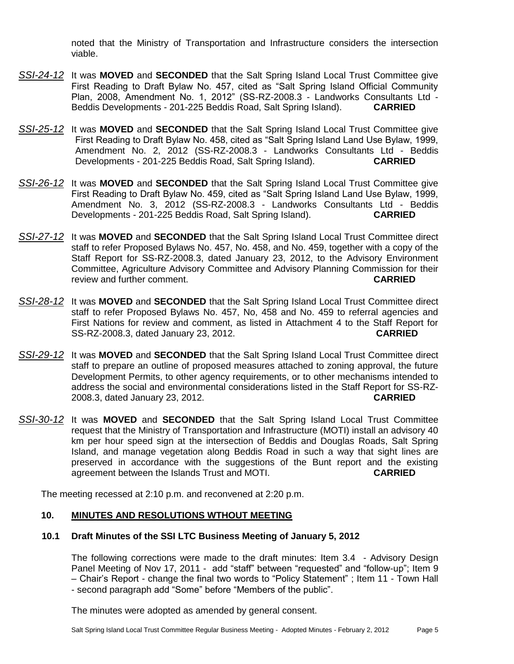noted that the Ministry of Transportation and Infrastructure considers the intersection viable.

- *SSI-24-12* It was **MOVED** and **SECONDED** that the Salt Spring Island Local Trust Committee give First Reading to Draft Bylaw No. 457, cited as "Salt Spring Island Official Community Plan, 2008, Amendment No. 1, 2012" (SS-RZ-2008.3 - Landworks Consultants Ltd -Beddis Developments - 201-225 Beddis Road, Salt Spring Island). **CARRIED**
- *SSI-25-12* It was **MOVED** and **SECONDED** that the Salt Spring Island Local Trust Committee give First Reading to Draft Bylaw No. 458, cited as "Salt Spring Island Land Use Bylaw, 1999, Amendment No. 2, 2012 (SS-RZ-2008.3 - Landworks Consultants Ltd - Beddis Developments - 201-225 Beddis Road, Salt Spring Island). **CARRIED**
- *SSI-26-12* It was **MOVED** and **SECONDED** that the Salt Spring Island Local Trust Committee give First Reading to Draft Bylaw No. 459, cited as "Salt Spring Island Land Use Bylaw, 1999, Amendment No. 3, 2012 (SS-RZ-2008.3 - Landworks Consultants Ltd - Beddis Developments - 201-225 Beddis Road, Salt Spring Island). **CARRIED**
- *SSI-27-12* It was **MOVED** and **SECONDED** that the Salt Spring Island Local Trust Committee direct staff to refer Proposed Bylaws No. 457, No. 458, and No. 459, together with a copy of the Staff Report for SS-RZ-2008.3, dated January 23, 2012, to the Advisory Environment Committee, Agriculture Advisory Committee and Advisory Planning Commission for their review and further comment. **CARRIED**
- *SSI-28-12* It was **MOVED** and **SECONDED** that the Salt Spring Island Local Trust Committee direct staff to refer Proposed Bylaws No. 457, No, 458 and No. 459 to referral agencies and First Nations for review and comment, as listed in Attachment 4 to the Staff Report for SS-RZ-2008.3, dated January 23, 2012. **CARRIED**
- *SSI-29-12* It was **MOVED** and **SECONDED** that the Salt Spring Island Local Trust Committee direct staff to prepare an outline of proposed measures attached to zoning approval, the future Development Permits, to other agency requirements, or to other mechanisms intended to address the social and environmental considerations listed in the Staff Report for SS-RZ-2008.3, dated January 23, 2012. **CARRIED**
- *SSI-30-12* It was **MOVED** and **SECONDED** that the Salt Spring Island Local Trust Committee request that the Ministry of Transportation and Infrastructure (MOTI) install an advisory 40 km per hour speed sign at the intersection of Beddis and Douglas Roads, Salt Spring Island, and manage vegetation along Beddis Road in such a way that sight lines are preserved in accordance with the suggestions of the Bunt report and the existing agreement between the Islands Trust and MOTI. **CARRIED**

The meeting recessed at 2:10 p.m. and reconvened at 2:20 p.m.

## **10. MINUTES AND RESOLUTIONS WTHOUT MEETING**

## **10.1 Draft Minutes of the SSI LTC Business Meeting of January 5, 2012**

The following corrections were made to the draft minutes: Item 3.4 - Advisory Design Panel Meeting of Nov 17, 2011 - add "staff" between "requested" and "follow-up": Item 9 – Chair's Report - change the final two words to "Policy Statement" ; Item 11 - Town Hall - second paragraph add "Some" before "Members of the public".

The minutes were adopted as amended by general consent.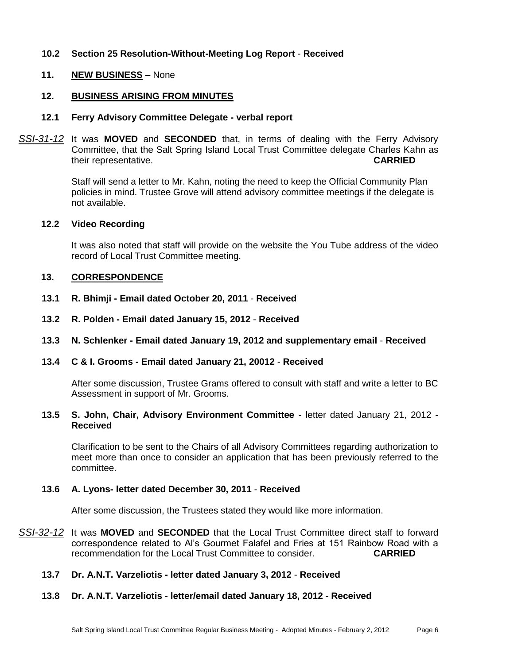# **10.2 Section 25 Resolution-Without-Meeting Log Report** - **Received**

## **11. NEW BUSINESS** – None

#### **12. BUSINESS ARISING FROM MINUTES**

#### **12.1 Ferry Advisory Committee Delegate - verbal report**

*SSI-31-12* It was **MOVED** and **SECONDED** that, in terms of dealing with the Ferry Advisory Committee, that the Salt Spring Island Local Trust Committee delegate Charles Kahn as their representative. **CARRIED**

> Staff will send a letter to Mr. Kahn, noting the need to keep the Official Community Plan policies in mind. Trustee Grove will attend advisory committee meetings if the delegate is not available.

#### **12.2 Video Recording**

It was also noted that staff will provide on the website the You Tube address of the video record of Local Trust Committee meeting.

#### **13. CORRESPONDENCE**

- **13.1 R. Bhimji - Email dated October 20, 2011 Received**
- **13.2 R. Polden - Email dated January 15, 2012 Received**
- **13.3 N. Schlenker - Email dated January 19, 2012 and supplementary email Received**
- **13.4 C & I. Grooms - Email dated January 21, 20012 Received**

After some discussion, Trustee Grams offered to consult with staff and write a letter to BC Assessment in support of Mr. Grooms.

**13.5 S. John, Chair, Advisory Environment Committee** - letter dated January 21, 2012 - **Received**

Clarification to be sent to the Chairs of all Advisory Committees regarding authorization to meet more than once to consider an application that has been previously referred to the committee.

# **13.6 A. Lyons- letter dated December 30, 2011** - **Received**

After some discussion, the Trustees stated they would like more information.

- *SSI-32-12* It was **MOVED** and **SECONDED** that the Local Trust Committee direct staff to forward correspondence related to Al's Gourmet Falafel and Fries at 151 Rainbow Road with a recommendation for the Local Trust Committee to consider. **CARRIED**
	- **13.7 Dr. A.N.T. Varzeliotis - letter dated January 3, 2012 Received**

## **13.8 Dr. A.N.T. Varzeliotis - letter/email dated January 18, 2012** - **Received**